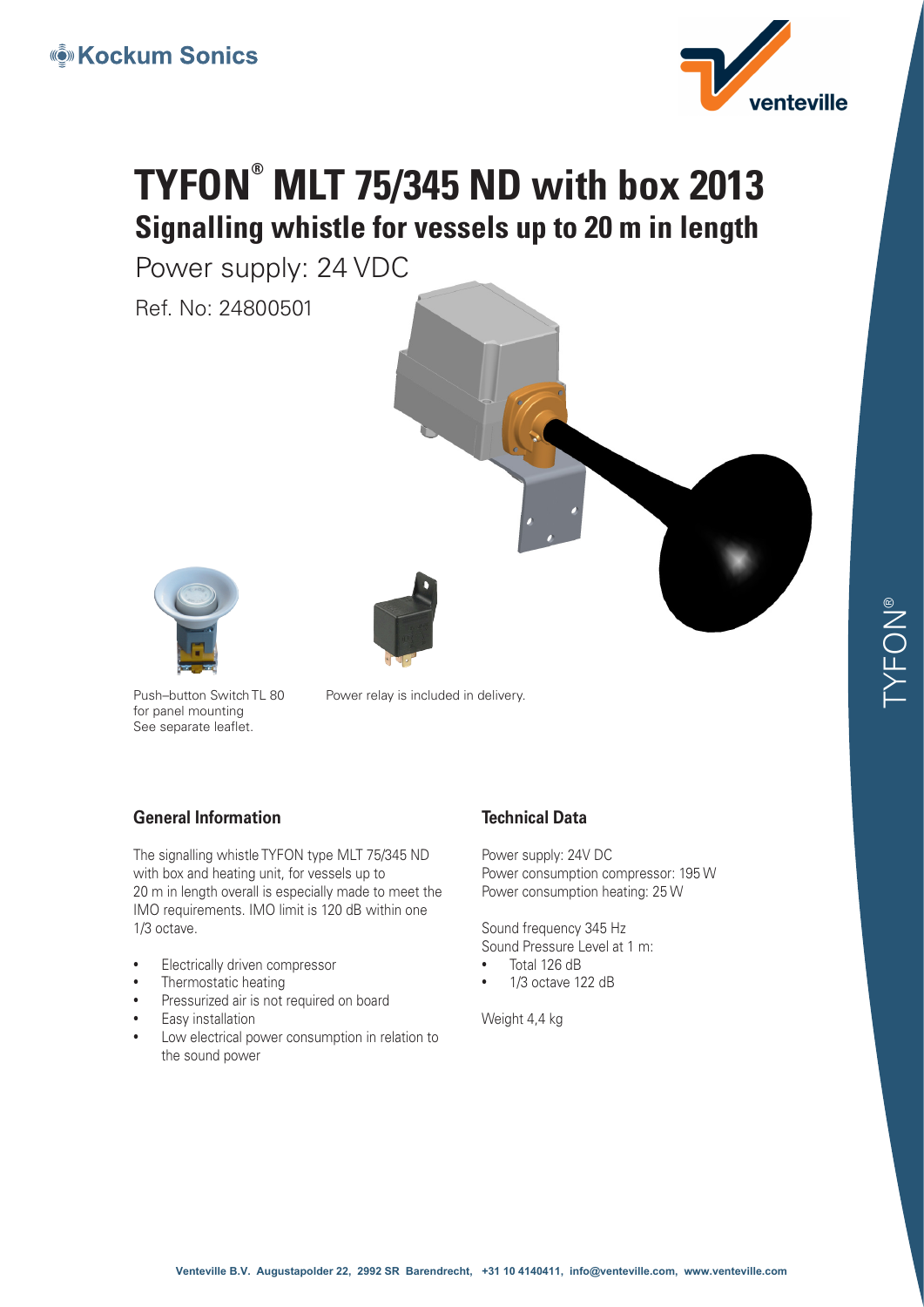

# **TYFON® MLT 75/345 ND with box 2013 Signalling whistle for vessels up to 20 m in length**

Power supply: 24 VDC

Ref. No: 24800501





Push–button Switch TL 80 for panel mounting See separate leaflet.

Power relay is included in delivery.

#### **General Information**

The signalling whistle TYFON type MLT 75/345 ND with box and heating unit, for vessels up to 20 m in length overall is especially made to meet the IMO requirements. IMO limit is 120 dB within one 1/3 octave.

- Electrically driven compressor
- Thermostatic heating
- Pressurized air is not required on board
- Easy installation
- Low electrical power consumption in relation to the sound power

### **Technical Data**

Power supply: 24V DC Power consumption compressor: 195 W Power consumption heating: 25 W

Sound frequency 345 Hz

Sound Pressure Level at 1 m: • Total 126 dB

• 1/3 octave 122 dB

Weight 4.4 kg